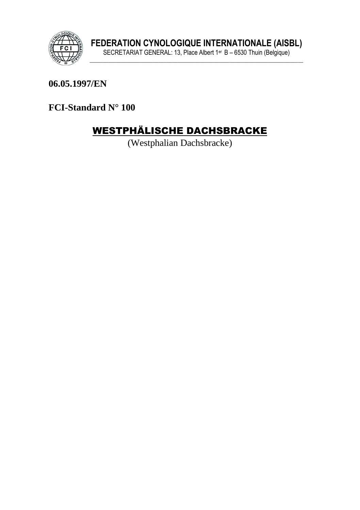

06.05.1997/EN

FCI-Standard N° 100

# WESTPHÄLISCHE DACHSBRACKE

(Westphalian Dachsbracke)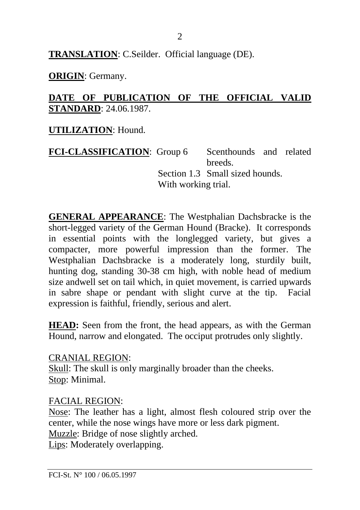**TRANSLATION**: C.Seilder. Official language (DE).

**ORIGIN**: Germany.

#### **DATE OF PUBLICATION OF THE OFFICIAL VALID STANDARD**: 24.06.1987.

**UTILIZATION**: Hound.

**FCI-CLASSIFICATION:** Group 6 Scenthounds and related breeds. Section 1.3 Small sized hounds. With working trial.

**GENERAL APPEARANCE**: The Westphalian Dachsbracke is the short-legged variety of the German Hound (Bracke). It corresponds in essential points with the longlegged variety, but gives a compacter, more powerful impression than the former. The Westphalian Dachsbracke is a moderately long, sturdily built, hunting dog, standing 30-38 cm high, with noble head of medium size andwell set on tail which, in quiet movement, is carried upwards in sabre shape or pendant with slight curve at the tip. Facial expression is faithful, friendly, serious and alert.

**HEAD:** Seen from the front, the head appears, as with the German Hound, narrow and elongated. The occiput protrudes only slightly.

CRANIAL REGION: Skull: The skull is only marginally broader than the cheeks. Stop: Minimal.

FACIAL REGION:

Nose: The leather has a light, almost flesh coloured strip over the center, while the nose wings have more or less dark pigment.

Muzzle: Bridge of nose slightly arched.

Lips: Moderately overlapping.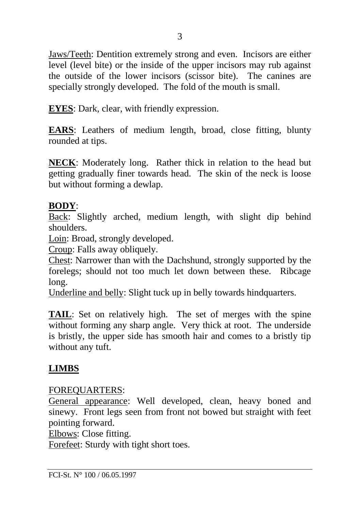Jaws/Teeth: Dentition extremely strong and even. Incisors are either level (level bite) or the inside of the upper incisors may rub against the outside of the lower incisors (scissor bite). The canines are specially strongly developed. The fold of the mouth is small.

**EYES**: Dark, clear, with friendly expression.

**EARS**: Leathers of medium length, broad, close fitting, blunty rounded at tips.

**NECK**: Moderately long. Rather thick in relation to the head but getting gradually finer towards head. The skin of the neck is loose but without forming a dewlap.

#### **BODY**:

Back: Slightly arched, medium length, with slight dip behind shoulders.

Loin: Broad, strongly developed.

Croup: Falls away obliquely.

Chest: Narrower than with the Dachshund, strongly supported by the forelegs; should not too much let down between these. Ribcage long.

Underline and belly: Slight tuck up in belly towards hindquarters.

**TAIL**: Set on relatively high. The set of merges with the spine without forming any sharp angle. Very thick at root. The underside is bristly, the upper side has smooth hair and comes to a bristly tip without any tuft.

## **LIMBS**

## FOREQUARTERS:

General appearance: Well developed, clean, heavy boned and sinewy. Front legs seen from front not bowed but straight with feet pointing forward.

Elbows: Close fitting.

Forefeet: Sturdy with tight short toes.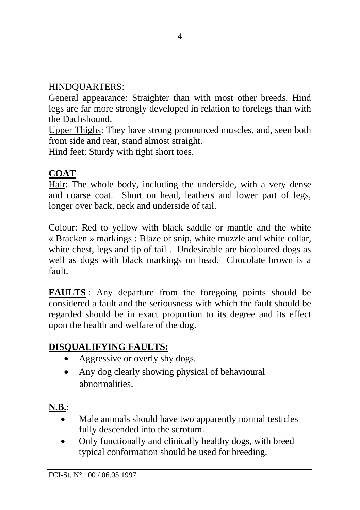#### HINDQUARTERS:

General appearance: Straighter than with most other breeds. Hind legs are far more strongly developed in relation to forelegs than with the Dachshound.

Upper Thighs: They have strong pronounced muscles, and, seen both from side and rear, stand almost straight.

Hind feet: Sturdy with tight short toes.

## **COAT**

Hair: The whole body, including the underside, with a very dense and coarse coat. Short on head, leathers and lower part of legs, longer over back, neck and underside of tail.

Colour: Red to yellow with black saddle or mantle and the white « Bracken » markings : Blaze or snip, white muzzle and white collar, white chest, legs and tip of tail . Undesirable are bicoloured dogs as well as dogs with black markings on head. Chocolate brown is a fault.

**FAULTS** : Any departure from the foregoing points should be considered a fault and the seriousness with which the fault should be regarded should be in exact proportion to its degree and its effect upon the health and welfare of the dog.

# **DISQUALIFYING FAULTS:**

- Aggressive or overly shy dogs.
- Any dog clearly showing physical of behavioural abnormalities.

# **N.B.**:

- Male animals should have two apparently normal testicles fully descended into the scrotum.
- Only functionally and clinically healthy dogs, with breed typical conformation should be used for breeding.